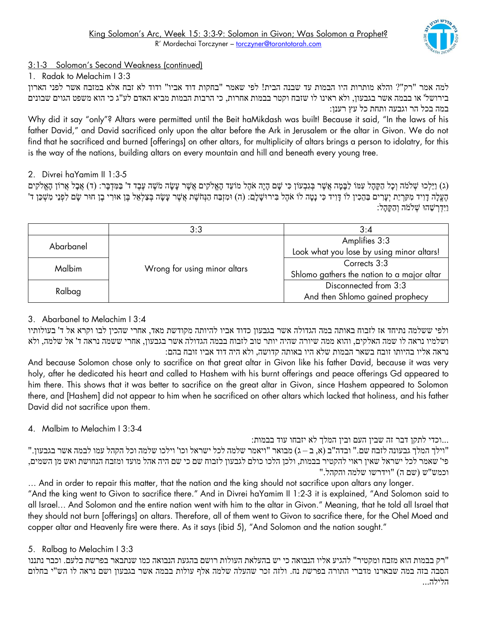

# 3:1-3 Solomon's Second Weakness (continued)

1. Radak to Melachim I 3:3

למה אמר "רק"? והלא מותרות היו הבמות עד שבנה הבית! לפי שאמר "בחקות דוד אביו" ודוד לא זבח אלא במזבח אשר לפני הארון בירושל' או בבמה אשר בגבעון, ולא ראינו לו שזבח וקטר בבמות אחרות, כי הרבות הבמות מביא האדם לע"ג כי הוא משפט הגוים שבונים במה בכל הר וגבעה ותחת כל עץ רענן:

Why did it say "only"? Altars were permitted until the Beit haMikdash was built! Because it said, "In the laws of his father David," and David sacrificed only upon the altar before the Ark in Jerusalem or the altar in Givon. We do not find that he sacrificed and burned [offerings] on other altars, for multiplicity of altars brings a person to idolatry, for this is the way of the nations, building altars on every mountain and hill and beneath every young tree.

## 2. Divrei haYamim II 1:3-5

(ג) וַיֵּלְכוּ שְׁלֹמֹה וְכָל הַקֶּהָל עִמּוֹ לַבָּמָה אֲשֶׁר בְּגִבְעוֹן כִּי שָׁם הָיָה אֹהֶל מוֹעֵד הָאֱלֹקִים אֲשֶׁר עָשָׂה מֹשֶׁה עֵּבֶד ד' בַּמִּדְבָּר: (ד) אֲבָל אֲרוֹן הָאֱלֹקִים הֶעֱלָה דָוִיד מִקְרָיַת יִעָרִים בַּהֶכִין לוֹ דָּוִיד כִּי נָטָה לוֹ אֹהֶל בִּירוּשָׁלָם: (ה) וּמִזְבַח הַנְחֹשֶׁת אֲשֶׁר עָשָׂה בְּצַלְאֵל בֵּן אוּרִי בֶן חוּר שָׂם לִפְנֵי מִשְׁכַּן ד' וַיִּדְרְשֶׁהוּ שָׁלֹמֹה וְהַקִּהֵל:

|           | 3:3                          | 3:4                                        |
|-----------|------------------------------|--------------------------------------------|
| Abarbanel | Wrong for using minor altars | Amplifies 3:3                              |
|           |                              | Look what you lose by using minor altars!  |
| Malbim    |                              | Corrects 3:3                               |
|           |                              | Shlomo gathers the nation to a major altar |
| Ralbag    |                              | Disconnected from 3:3                      |
|           |                              | And then Shlomo gained prophecy            |

## 3. Abarbanel to Melachim I 3:4

ולפי ששלמה נתיחד אז לזבוח באותה במה הגדולה אשר בגבעון כדוד אביו להיותה מקודשת מאד, אחרי שהכין לבו וקרא אל ד' בעולותיו ושלמיו נראה לו שמה האלקים, והוא ממה שיורה שהיה יותר טוב לזבוח בבמה הגדולה אשר בגבעון, אחרי ששמה נראה ד' אל שלמה, ולא נראה אליו בהיותו זובח בשאר הבמות שלא היו באותה קדושה, ולא היה דוד אביו זובח בהם:

And because Solomon chose only to sacrifice on that great altar in Givon like his father David, because it was very holy, after he dedicated his heart and called to Hashem with his burnt offerings and peace offerings Gd appeared to him there. This shows that it was better to sacrifice on the great altar in Givon, since Hashem appeared to Solomon there, and [Hashem] did not appear to him when he sacrificed on other altars which lacked that holiness, and his father David did not sacrifice upon them.

# 4. Malbim to Melachim I 3:3-4

...וכדי לתקן דבר זה שבין העם ובין המלך לא יזבחו עוד בבמות:

"וילך המלך גבעונה לזבח שם." ובדה"ב (א, ב — ג) מבואר "ויאמר שלמה לכל ישראל וכו' וילכו שלמה וכל הקהל עמו לבמה אשר בגבעון." פי' שאמר לכל ישראל שאין ראוי להקטיר בבמות, ולכן הלכו כולם לגבעון לזבוח שם כי שם היה אהל מועד ומזבח הנחושת ואש מן השמים, "<br/>וכמש"ש (שם ה) "וידרשו שלמה והקהל.

… And in order to repair this matter, that the nation and the king should not sacrifice upon altars any longer. "And the king went to Givon to sacrifice there." And in Divrei haYamim II 1:2-3 it is explained, "And Solomon said to all Israel… And Solomon and the entire nation went with him to the altar in Givon." Meaning, that he told all Israel that they should not burn [offerings] on altars. Therefore, all of them went to Givon to sacrifice there, for the Ohel Moed and copper altar and Heavenly fire were there. As it says (ibid 5), "And Solomon and the nation sought."

## 5. Ralbag to Melachim I 3:3

"רק בבמות הוא מזבח ומקטיר" להגיע אליו הנבואה כי יש בהעלאת העולות רושם בהגעת הנבואה כמו שנתבאר בפרשת בלעם. וכבר נתננו הסבה בזה במה שבארנו מדברי התורה בפרשת נח. ולזה זכר שהעלה שלמה אלף עולות בבמה אשר בגבעון ושם נראה לו הש"י בחלום הלילה...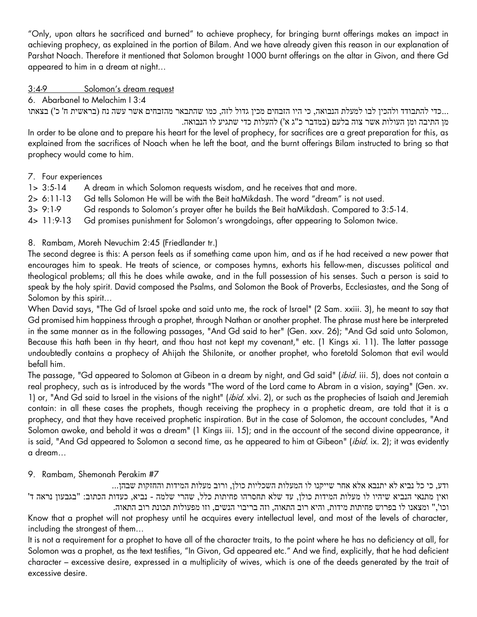"Only, upon altars he sacrificed and burned" to achieve prophecy, for bringing burnt offerings makes an impact in achieving prophecy, as explained in the portion of Bilam. And we have already given this reason in our explanation of Parshat Noach. Therefore it mentioned that Solomon brought 1000 burnt offerings on the altar in Givon, and there Gd appeared to him in a dream at night…

#### 3:4-9 Solomon's dream request

6. Abarbanel to Melachim I 3:4

...כדי להתבודד ולהכין לבו למעלת הנבואה, כי היו הזבחים מכין גדול לזה, כמו שהתבאר מהזבחים אשר עשה נח (בראשית ח' כ') בצאתו מן התיבה ומן העולות אשר צוה בלעם (במדבר כ"ג א') להעלות כדי שתגיע לו הנבואה.

In order to be alone and to prepare his heart for the level of prophecy, for sacrifices are a great preparation for this, as explained from the sacrifices of Noach when he left the boat, and the burnt offerings Bilam instructed to bring so that prophecy would come to him.

#### 7. Four experiences

| $1 > 3:5-14$  | A dream in which Solomon requests wisdom, and he receives that and more.                |
|---------------|-----------------------------------------------------------------------------------------|
| $2 > 6:11-13$ | Gd tells Solomon He will be with the Beit haMikdash. The word "dream" is not used.      |
| $3 > 9:1-9$   | Gd responds to Solomon's prayer after he builds the Beit haMikdash. Compared to 3:5-14. |
| $4 > 11:9-13$ | Gd promises punishment for Solomon's wrongdoings, after appearing to Solomon twice.     |

#### 8. Rambam, Moreh Nevuchim 2:45 (Friedlander tr.)

The second degree is this: A person feels as if something came upon him, and as if he had received a new power that encourages him to speak. He treats of science, or composes hymns, exhorts his fellow-men, discusses political and theological problems; all this he does while awake, and in the full possession of his senses. Such a person is said to speak by the holy spirit. David composed the Psalms, and Solomon the Book of Proverbs, Ecclesiastes, and the Song of Solomon by this spirit…

When David says, "The Gd of Israel spoke and said unto me, the rock of Israel" (2 Sam. xxiii. 3), he meant to say that Gd promised him happiness through a prophet, through Nathan or another prophet. The phrase must here be interpreted in the same manner as in the following passages, "And Gd said to her" (Gen. xxv. 26); "And Gd said unto Solomon, Because this hath been in thy heart, and thou hast not kept my covenant," etc. (1 Kings xi. 11). The latter passage undoubtedly contains a prophecy of Ahijah the Shilonite, or another prophet, who foretold Solomon that evil would befall him.

The passage, "Gd appeared to Solomon at Gibeon in a dream by night, and Gd said" (ibid. iii. 5), does not contain a real prophecy, such as is introduced by the words "The word of the Lord came to Abram in a vision, saying" (Gen. xv. 1) or, "And Gd said to Israel in the visions of the night" (ibid. xlvi. 2), or such as the prophecies of Isaiah and Jeremiah contain: in all these cases the prophets, though receiving the prophecy in a prophetic dream, are told that it is a prophecy, and that they have received prophetic inspiration. But in the case of Solomon, the account concludes, "And Solomon awoke, and behold it was a dream" (1 Kings iii. 15); and in the account of the second divine appearance, it is said, "And Gd appeared to Solomon a second time, as he appeared to him at Gibeon" (ibid. ix. 2); it was evidently a dream…

## 9. Rambam, Shemonah Perakim #7

ודע, כי כל נביא לא יתנבא אלא אחר שייקנו לו המעלות השכליות כולן, ורוב מעלות המידות והחזקות שבהן... ואין מתנאי הנביא שיהיו לו מעלות המידות כולן, עד שלא תחסרהו פחיתות כלל, שהרי שלמה - נביא, כעדות הכתוב: "בגבעון נראה ד' וכו'," ומצאנו לו בפרוש פחיתות מידות, והיא רוב התאוה, וזה בריבוי הנשים, וזו מפעולות תכונת רוב התאוה.

Know that a prophet will not prophesy until he acquires every intellectual level, and most of the levels of character, including the strongest of them…

It is not a requirement for a prophet to have all of the character traits, to the point where he has no deficiency at all, for Solomon was a prophet, as the text testifies, "In Givon, Gd appeared etc." And we find, explicitly, that he had deficient character – excessive desire, expressed in a multiplicity of wives, which is one of the deeds generated by the trait of excessive desire.